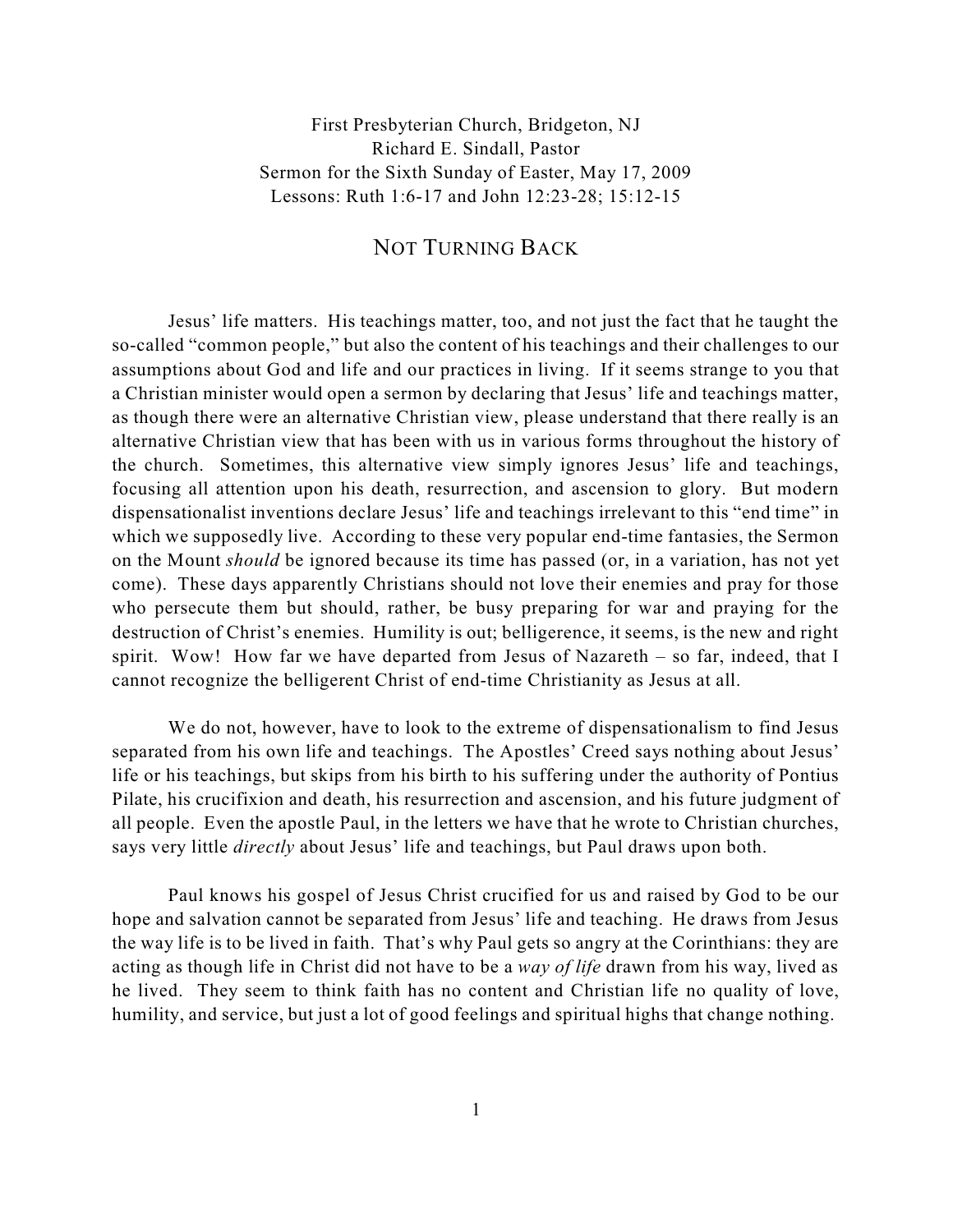First Presbyterian Church, Bridgeton, NJ Richard E. Sindall, Pastor Sermon for the Sixth Sunday of Easter, May 17, 2009 Lessons: Ruth 1:6-17 and John 12:23-28; 15:12-15

## NOT TURNING BACK

Jesus' life matters. His teachings matter, too, and not just the fact that he taught the so-called "common people," but also the content of his teachings and their challenges to our assumptions about God and life and our practices in living. If it seems strange to you that a Christian minister would open a sermon by declaring that Jesus' life and teachings matter, as though there were an alternative Christian view, please understand that there really is an alternative Christian view that has been with us in various forms throughout the history of the church. Sometimes, this alternative view simply ignores Jesus' life and teachings, focusing all attention upon his death, resurrection, and ascension to glory. But modern dispensationalist inventions declare Jesus' life and teachings irrelevant to this "end time" in which we supposedly live. According to these very popular end-time fantasies, the Sermon on the Mount *should* be ignored because its time has passed (or, in a variation, has not yet come). These days apparently Christians should not love their enemies and pray for those who persecute them but should, rather, be busy preparing for war and praying for the destruction of Christ's enemies. Humility is out; belligerence, it seems, is the new and right spirit. Wow! How far we have departed from Jesus of Nazareth – so far, indeed, that I cannot recognize the belligerent Christ of end-time Christianity as Jesus at all.

We do not, however, have to look to the extreme of dispensationalism to find Jesus separated from his own life and teachings. The Apostles' Creed says nothing about Jesus' life or his teachings, but skips from his birth to his suffering under the authority of Pontius Pilate, his crucifixion and death, his resurrection and ascension, and his future judgment of all people. Even the apostle Paul, in the letters we have that he wrote to Christian churches, says very little *directly* about Jesus' life and teachings, but Paul draws upon both.

Paul knows his gospel of Jesus Christ crucified for us and raised by God to be our hope and salvation cannot be separated from Jesus' life and teaching. He draws from Jesus the way life is to be lived in faith. That's why Paul gets so angry at the Corinthians: they are acting as though life in Christ did not have to be a *way of life* drawn from his way, lived as he lived. They seem to think faith has no content and Christian life no quality of love, humility, and service, but just a lot of good feelings and spiritual highs that change nothing.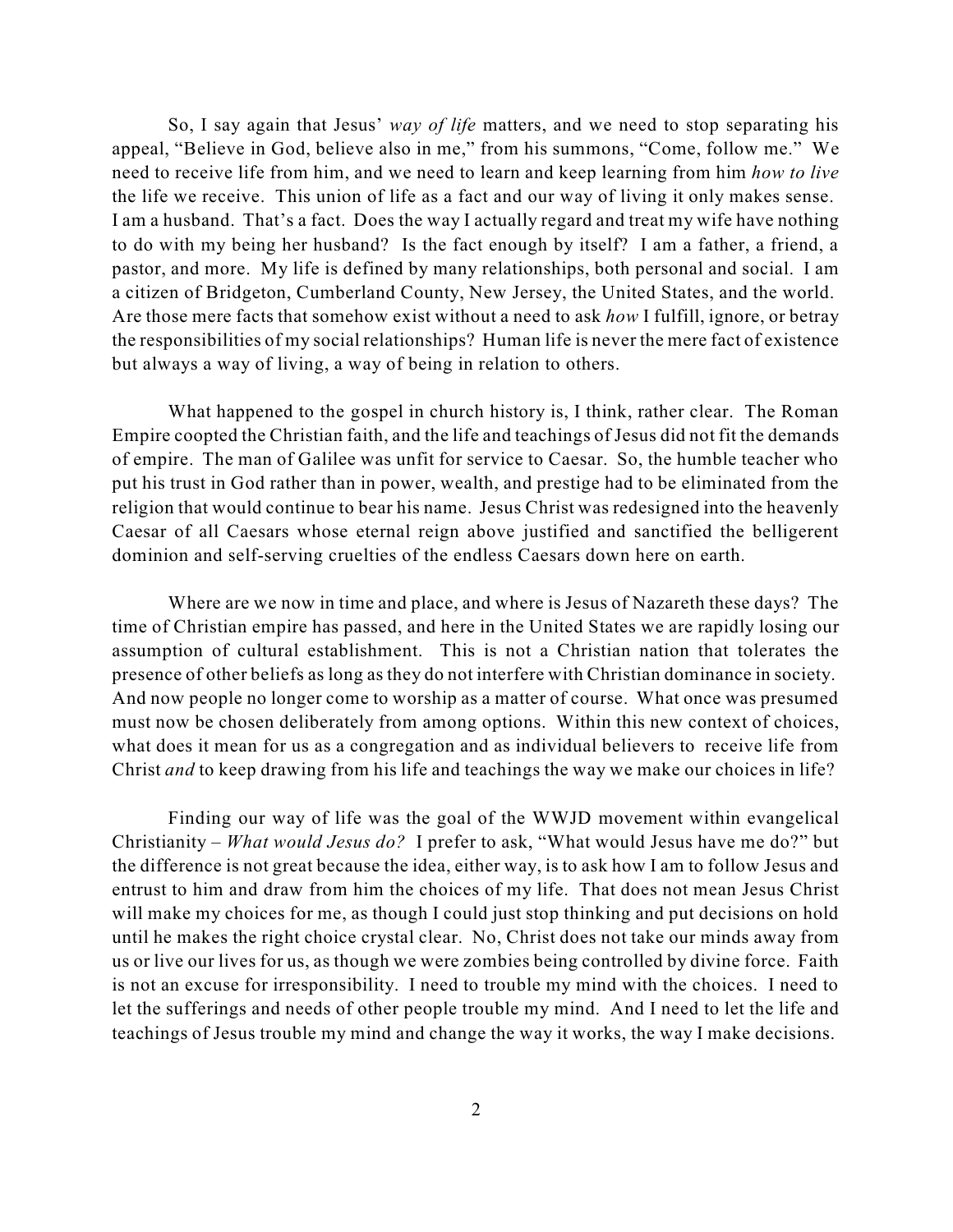So, I say again that Jesus' *way of life* matters, and we need to stop separating his appeal, "Believe in God, believe also in me," from his summons, "Come, follow me." We need to receive life from him, and we need to learn and keep learning from him *how to live* the life we receive. This union of life as a fact and our way of living it only makes sense. I am a husband. That's a fact. Does the way I actually regard and treat my wife have nothing to do with my being her husband? Is the fact enough by itself? I am a father, a friend, a pastor, and more. My life is defined by many relationships, both personal and social. I am a citizen of Bridgeton, Cumberland County, New Jersey, the United States, and the world. Are those mere facts that somehow exist without a need to ask *how* I fulfill, ignore, or betray the responsibilities of my social relationships? Human life is never the mere fact of existence but always a way of living, a way of being in relation to others.

What happened to the gospel in church history is, I think, rather clear. The Roman Empire coopted the Christian faith, and the life and teachings of Jesus did not fit the demands of empire. The man of Galilee was unfit for service to Caesar. So, the humble teacher who put his trust in God rather than in power, wealth, and prestige had to be eliminated from the religion that would continue to bear his name. Jesus Christ was redesigned into the heavenly Caesar of all Caesars whose eternal reign above justified and sanctified the belligerent dominion and self-serving cruelties of the endless Caesars down here on earth.

Where are we now in time and place, and where is Jesus of Nazareth these days? The time of Christian empire has passed, and here in the United States we are rapidly losing our assumption of cultural establishment. This is not a Christian nation that tolerates the presence of other beliefs as long as they do not interfere with Christian dominance in society. And now people no longer come to worship as a matter of course. What once was presumed must now be chosen deliberately from among options. Within this new context of choices, what does it mean for us as a congregation and as individual believers to receive life from Christ *and* to keep drawing from his life and teachings the way we make our choices in life?

Finding our way of life was the goal of the WWJD movement within evangelical Christianity – *What would Jesus do?* I prefer to ask, "What would Jesus have me do?" but the difference is not great because the idea, either way, is to ask how I am to follow Jesus and entrust to him and draw from him the choices of my life. That does not mean Jesus Christ will make my choices for me, as though I could just stop thinking and put decisions on hold until he makes the right choice crystal clear. No, Christ does not take our minds away from us or live our lives for us, as though we were zombies being controlled by divine force. Faith is not an excuse for irresponsibility. I need to trouble my mind with the choices. I need to let the sufferings and needs of other people trouble my mind. And I need to let the life and teachings of Jesus trouble my mind and change the way it works, the way I make decisions.